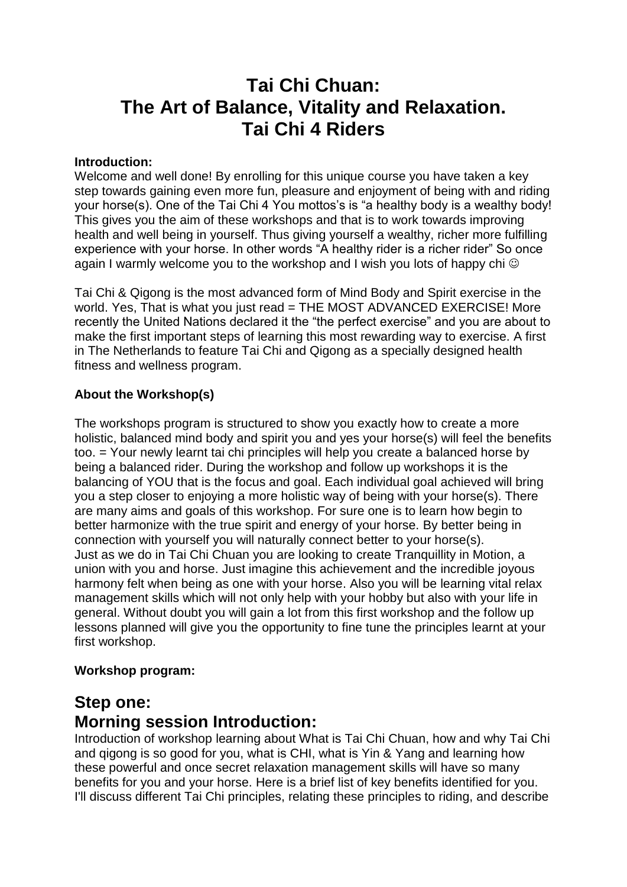# **Tai Chi Chuan: The Art of Balance, Vitality and Relaxation. Tai Chi 4 Riders**

### **Introduction:**

Welcome and well done! By enrolling for this unique course you have taken a key step towards gaining even more fun, pleasure and enjoyment of being with and riding your horse(s). One of the Tai Chi 4 You mottos's is "a healthy body is a wealthy body! This gives you the aim of these workshops and that is to work towards improving health and well being in yourself. Thus giving yourself a wealthy, richer more fulfilling experience with your horse. In other words "A healthy rider is a richer rider" So once again I warmly welcome you to the workshop and I wish you lots of happy chi  $\odot$ 

Tai Chi & Qigong is the most advanced form of Mind Body and Spirit exercise in the world. Yes, That is what you just read = THE MOST ADVANCED EXERCISE! More recently the United Nations declared it the "the perfect exercise" and you are about to make the first important steps of learning this most rewarding way to exercise. A first in The Netherlands to feature Tai Chi and Qigong as a specially designed health fitness and wellness program.

### **About the Workshop(s)**

The workshops program is structured to show you exactly how to create a more holistic, balanced mind body and spirit you and yes your horse(s) will feel the benefits too. = Your newly learnt tai chi principles will help you create a balanced horse by being a balanced rider. During the workshop and follow up workshops it is the balancing of YOU that is the focus and goal. Each individual goal achieved will bring you a step closer to enjoying a more holistic way of being with your horse(s). There are many aims and goals of this workshop. For sure one is to learn how begin to better harmonize with the true spirit and energy of your horse. By better being in connection with yourself you will naturally connect better to your horse(s). Just as we do in Tai Chi Chuan you are looking to create Tranquillity in Motion, a union with you and horse. Just imagine this achievement and the incredible joyous harmony felt when being as one with your horse. Also you will be learning vital relax management skills which will not only help with your hobby but also with your life in general. Without doubt you will gain a lot from this first workshop and the follow up lessons planned will give you the opportunity to fine tune the principles learnt at your first workshop.

### **Workshop program:**

## **Step one:**

## **Morning session Introduction:**

Introduction of workshop learning about What is Tai Chi Chuan, how and why Tai Chi and qigong is so good for you, what is CHI, what is Yin & Yang and learning how these powerful and once secret relaxation management skills will have so many benefits for you and your horse. Here is a brief list of key benefits identified for you. I'll discuss different Tai Chi principles, relating these principles to riding, and describe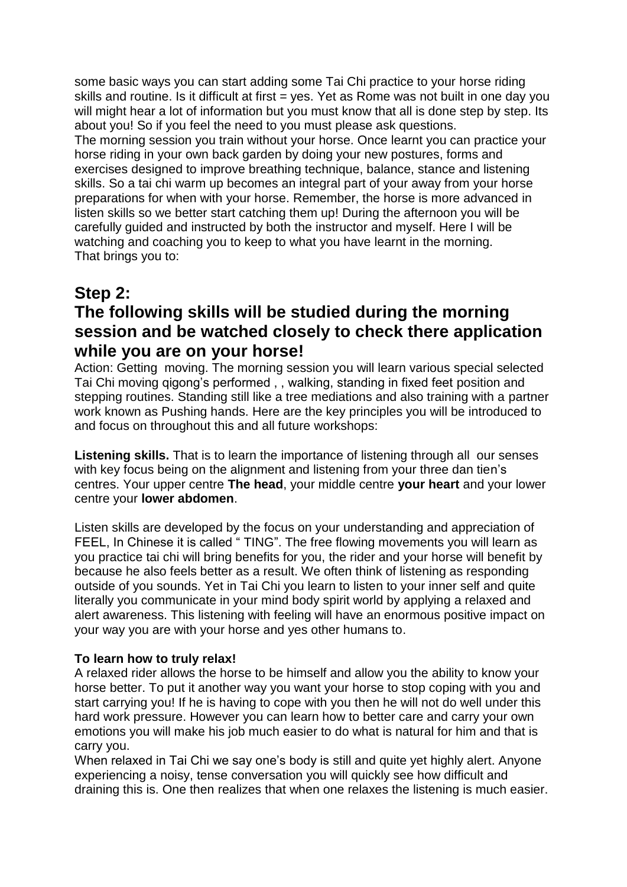some basic ways you can start adding some Tai Chi practice to your horse riding skills and routine. Is it difficult at first = yes. Yet as Rome was not built in one day you will might hear a lot of information but you must know that all is done step by step. Its about you! So if you feel the need to you must please ask questions.

The morning session you train without your horse. Once learnt you can practice your horse riding in your own back garden by doing your new postures, forms and exercises designed to improve breathing technique, balance, stance and listening skills. So a tai chi warm up becomes an integral part of your away from your horse preparations for when with your horse. Remember, the horse is more advanced in listen skills so we better start catching them up! During the afternoon you will be carefully guided and instructed by both the instructor and myself. Here I will be watching and coaching you to keep to what you have learnt in the morning. That brings you to:

# **Step 2:**

## **The following skills will be studied during the morning session and be watched closely to check there application while you are on your horse!**

Action: Getting moving. The morning session you will learn various special selected Tai Chi moving qigong's performed , , walking, standing in fixed feet position and stepping routines. Standing still like a tree mediations and also training with a partner work known as Pushing hands. Here are the key principles you will be introduced to and focus on throughout this and all future workshops:

**Listening skills.** That is to learn the importance of listening through all our senses with key focus being on the alignment and listening from your three dan tien's centres. Your upper centre **The head**, your middle centre **your heart** and your lower centre your **lower abdomen**.

Listen skills are developed by the focus on your understanding and appreciation of FEEL, In Chinese it is called "TING". The free flowing movements you will learn as you practice tai chi will bring benefits for you, the rider and your horse will benefit by because he also feels better as a result. We often think of listening as responding outside of you sounds. Yet in Tai Chi you learn to listen to your inner self and quite literally you communicate in your mind body spirit world by applying a relaxed and alert awareness. This listening with feeling will have an enormous positive impact on your way you are with your horse and yes other humans to.

### **To learn how to truly relax!**

A relaxed rider allows the horse to be himself and allow you the ability to know your horse better. To put it another way you want your horse to stop coping with you and start carrying you! If he is having to cope with you then he will not do well under this hard work pressure. However you can learn how to better care and carry your own emotions you will make his job much easier to do what is natural for him and that is carry you.

When relaxed in Tai Chi we say one's body is still and quite yet highly alert. Anyone experiencing a noisy, tense conversation you will quickly see how difficult and draining this is. One then realizes that when one relaxes the listening is much easier.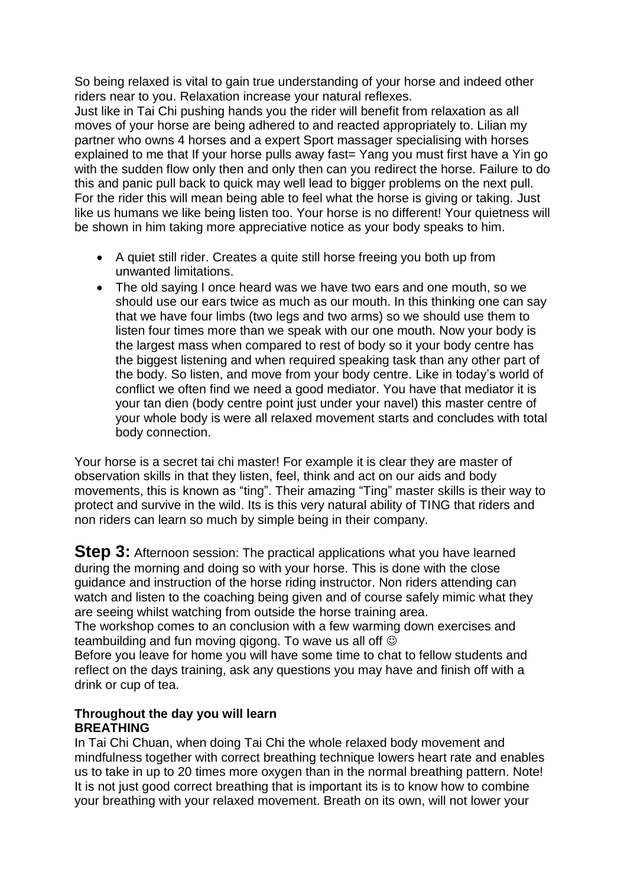So being relaxed is vital to gain true understanding of your horse and indeed other riders near to you. Relaxation increase your natural reflexes.

Just like in Tai Chi pushing hands you the rider will benefit from relaxation as all moves of your horse are being adhered to and reacted appropriately to. Lilian my partner who owns 4 horses and a expert Sport massager specialising with horses explained to me that If your horse pulls away fast= Yang you must first have a Yin go with the sudden flow only then and only then can you redirect the horse. Failure to do this and panic pull back to quick may well lead to bigger problems on the next pull. For the rider this will mean being able to feel what the horse is giving or taking. Just like us humans we like being listen too. Your horse is no different! Your quietness will be shown in him taking more appreciative notice as your body speaks to him.

- A quiet still rider. Creates a quite still horse freeing you both up from unwanted limitations.
- The old saying I once heard was we have two ears and one mouth, so we should use our ears twice as much as our mouth. In this thinking one can say that we have four limbs (two legs and two arms) so we should use them to listen four times more than we speak with our one mouth. Now your body is the largest mass when compared to rest of body so it your body centre has the biggest listening and when required speaking task than any other part of the body. So listen, and move from your body centre. Like in today's world of conflict we often find we need a good mediator. You have that mediator it is your tan dien (body centre point just under your navel) this master centre of your whole body is were all relaxed movement starts and concludes with total body connection.

Your horse is a secret tai chi master! For example it is clear they are master of observation skills in that they listen, feel, think and act on our aids and body movements, this is known as "ting". Their amazing "Ting" master skills is their way to protect and survive in the wild. Its is this very natural ability of TING that riders and non riders can learn so much by simple being in their company.

**Step 3:** Afternoon session: The practical applications what you have learned during the morning and doing so with your horse. This is done with the close guidance and instruction of the horse riding instructor. Non riders attending can watch and listen to the coaching being given and of course safely mimic what they are seeing whilst watching from outside the horse training area.

The workshop comes to an conclusion with a few warming down exercises and teambuilding and fun moving gigong. To wave us all off  $\odot$ 

Before you leave for home you will have some time to chat to fellow students and reflect on the days training, ask any questions you may have and finish off with a drink or cup of tea.

### **Throughout the day you will learn BREATHING**

In Tai Chi Chuan, when doing Tai Chi the whole relaxed body movement and mindfulness together with correct breathing technique lowers heart rate and enables us to take in up to 20 times more oxygen than in the normal breathing pattern. Note! It is not just good correct breathing that is important its is to know how to combine your breathing with your relaxed movement. Breath on its own, will not lower your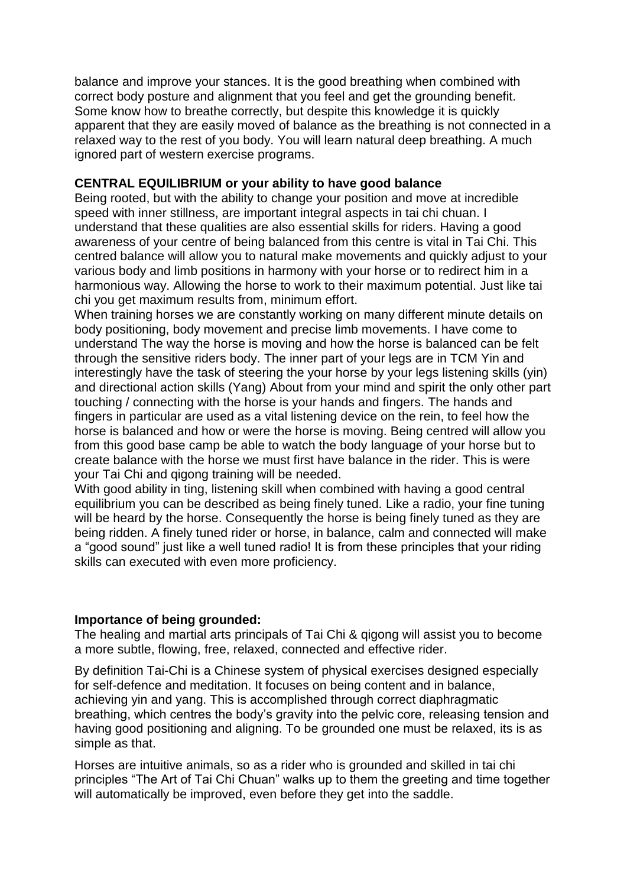balance and improve your stances. It is the good breathing when combined with correct body posture and alignment that you feel and get the grounding benefit. Some know how to breathe correctly, but despite this knowledge it is quickly apparent that they are easily moved of balance as the breathing is not connected in a relaxed way to the rest of you body. You will learn natural deep breathing. A much ignored part of western exercise programs.

### **CENTRAL EQUILIBRIUM or your ability to have good balance**

Being rooted, but with the ability to change your position and move at incredible speed with inner stillness, are important integral aspects in tai chi chuan. I understand that these qualities are also essential skills for riders. Having a good awareness of your centre of being balanced from this centre is vital in Tai Chi. This centred balance will allow you to natural make movements and quickly adjust to your various body and limb positions in harmony with your horse or to redirect him in a harmonious way. Allowing the horse to work to their maximum potential. Just like tai chi you get maximum results from, minimum effort.

When training horses we are constantly working on many different minute details on body positioning, body movement and precise limb movements. I have come to understand The way the horse is moving and how the horse is balanced can be felt through the sensitive riders body. The inner part of your legs are in TCM Yin and interestingly have the task of steering the your horse by your legs listening skills (yin) and directional action skills (Yang) About from your mind and spirit the only other part touching / connecting with the horse is your hands and fingers. The hands and fingers in particular are used as a vital listening device on the rein, to feel how the horse is balanced and how or were the horse is moving. Being centred will allow you from this good base camp be able to watch the body language of your horse but to create balance with the horse we must first have balance in the rider. This is were your Tai Chi and qigong training will be needed.

With good ability in ting, listening skill when combined with having a good central equilibrium you can be described as being finely tuned. Like a radio, your fine tuning will be heard by the horse. Consequently the horse is being finely tuned as they are being ridden. A finely tuned rider or horse, in balance, calm and connected will make a "good sound" just like a well tuned radio! It is from these principles that your riding skills can executed with even more proficiency.

### **Importance of being grounded:**

The healing and martial arts principals of Tai Chi & qigong will assist you to become a more subtle, flowing, free, relaxed, connected and effective rider.

By definition Tai-Chi is a Chinese system of physical exercises designed especially for self-defence and meditation. It focuses on being content and in balance, achieving yin and yang. This is accomplished through correct diaphragmatic breathing, which centres the body's gravity into the pelvic core, releasing tension and having good positioning and aligning. To be grounded one must be relaxed, its is as simple as that.

Horses are intuitive animals, so as a rider who is grounded and skilled in tai chi principles "The Art of Tai Chi Chuan" walks up to them the greeting and time together will automatically be improved, even before they get into the saddle.